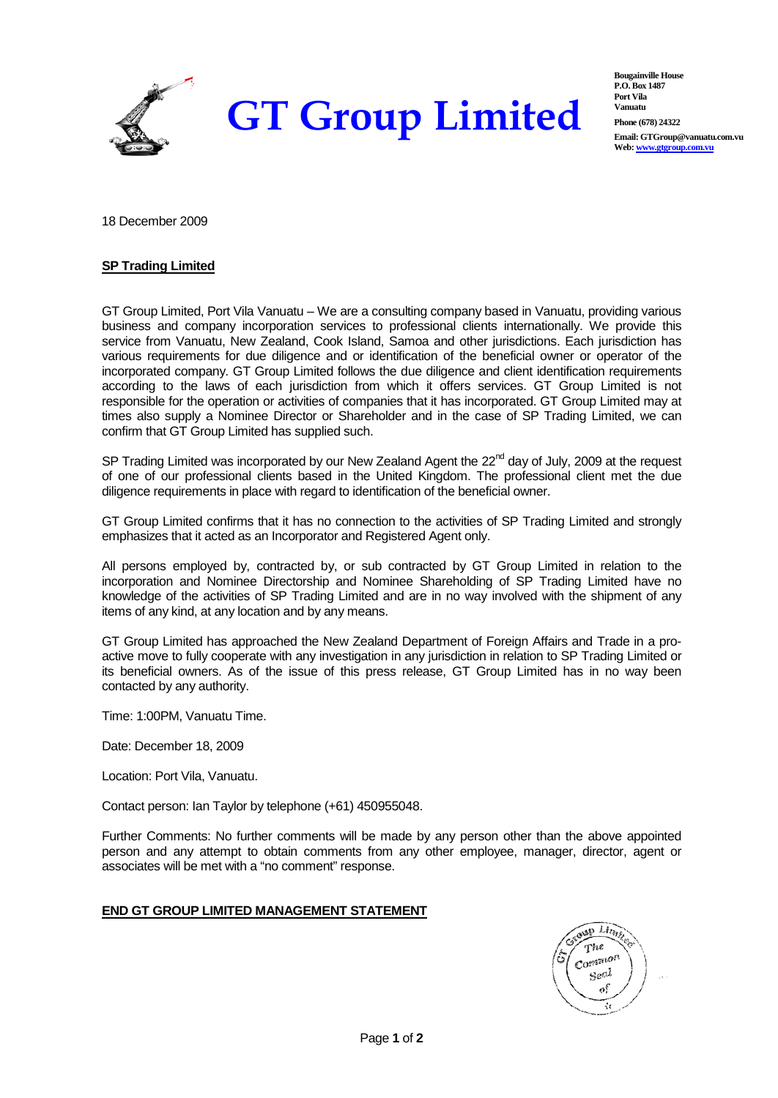

**Bougainville House P.O. Box 1487 Port Vila Vanuatu Phone (678) 24322 Email: GTGroup@vanuatu.com.vu Web: www.gtgroup.com.vu**

18 December 2009

## **SP Trading Limited**

GT Group Limited, Port Vila Vanuatu – We are a consulting company based in Vanuatu, providing various business and company incorporation services to professional clients internationally. We provide this service from Vanuatu, New Zealand, Cook Island, Samoa and other jurisdictions. Each jurisdiction has various requirements for due diligence and or identification of the beneficial owner or operator of the incorporated company. GT Group Limited follows the due diligence and client identification requirements according to the laws of each jurisdiction from which it offers services. GT Group Limited is not responsible for the operation or activities of companies that it has incorporated. GT Group Limited may at times also supply a Nominee Director or Shareholder and in the case of SP Trading Limited, we can confirm that GT Group Limited has supplied such.

SP Trading Limited was incorporated by our New Zealand Agent the 22<sup>nd</sup> day of July, 2009 at the request of one of our professional clients based in the United Kingdom. The professional client met the due diligence requirements in place with regard to identification of the beneficial owner.

GT Group Limited confirms that it has no connection to the activities of SP Trading Limited and strongly emphasizes that it acted as an Incorporator and Registered Agent only.

All persons employed by, contracted by, or sub contracted by GT Group Limited in relation to the incorporation and Nominee Directorship and Nominee Shareholding of SP Trading Limited have no knowledge of the activities of SP Trading Limited and are in no way involved with the shipment of any items of any kind, at any location and by any means.

GT Group Limited has approached the New Zealand Department of Foreign Affairs and Trade in a proactive move to fully cooperate with any investigation in any jurisdiction in relation to SP Trading Limited or its beneficial owners. As of the issue of this press release, GT Group Limited has in no way been contacted by any authority.

Time: 1:00PM, Vanuatu Time.

Date: December 18, 2009

Location: Port Vila, Vanuatu.

Contact person: Ian Taylor by telephone (+61) 450955048.

Further Comments: No further comments will be made by any person other than the above appointed person and any attempt to obtain comments from any other employee, manager, director, agent or associates will be met with a "no comment" response.

## **END GT GROUP LIMITED MANAGEMENT STATEMENT**